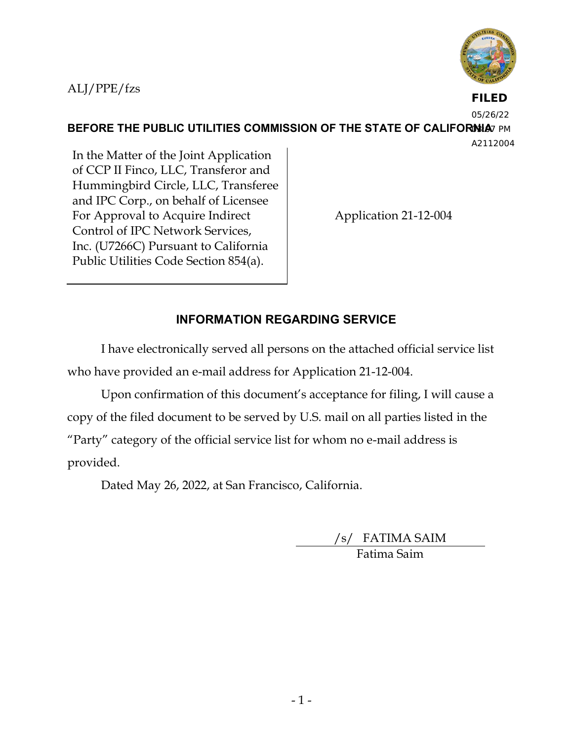

ALJ/PPE/fzs

**FILED** 05/26/22

**BEFORE THE PUBLIC UTILITIES COMMISSION OF THE STATE OF CALIFORNIA** PM

A2112004

In the Matter of the Joint Application of CCP II Finco, LLC, Transferor and Hummingbird Circle, LLC, Transferee and IPC Corp., on behalf of Licensee For Approval to Acquire Indirect Control of IPC Network Services, Inc. (U7266C) Pursuant to California Public Utilities Code Section 854(a).

Application 21-12-004

# **INFORMATION REGARDING SERVICE**

I have electronically served all persons on the attached official service list who have provided an e-mail address for Application 21-12-004.

Upon confirmation of this document's acceptance for filing, I will cause a copy of the filed document to be served by U.S. mail on all parties listed in the "Party" category of the official service list for whom no e-mail address is provided.

Dated May 26, 2022, at San Francisco, California.

/s/ FATIMA SAIM Fatima Saim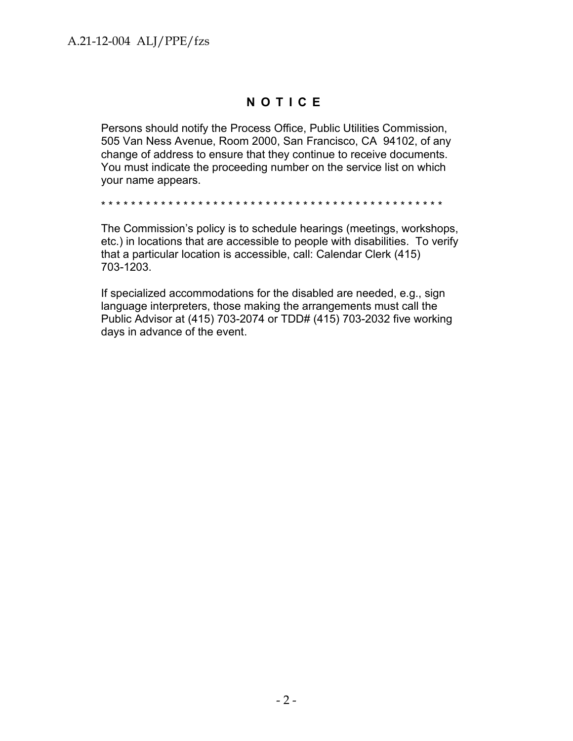## **N O T I C E**

Persons should notify the Process Office, Public Utilities Commission, 505 Van Ness Avenue, Room 2000, San Francisco, CA 94102, of any change of address to ensure that they continue to receive documents. You must indicate the proceeding number on the service list on which your name appears.

\* \* \* \* \* \* \* \* \* \* \* \* \* \* \* \* \* \* \* \* \* \* \* \* \* \* \* \* \* \* \* \* \* \* \* \* \* \* \* \* \* \* \* \* \* \*

The Commission's policy is to schedule hearings (meetings, workshops, etc.) in locations that are accessible to people with disabilities. To verify that a particular location is accessible, call: Calendar Clerk (415) 703-1203.

If specialized accommodations for the disabled are needed, e.g., sign language interpreters, those making the arrangements must call the Public Advisor at (415) 703-2074 or TDD# (415) 703-2032 five working days in advance of the event.